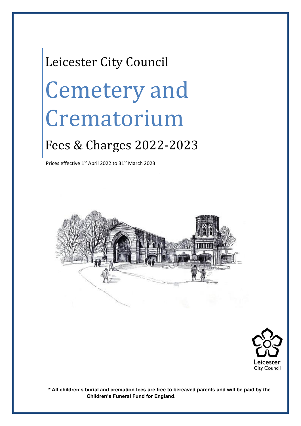# Leicester City Council Cemetery and Crematorium

### Fees & Charges 2022-2023

Prices effective  $1<sup>st</sup>$  April 2022 to 31 $<sup>st</sup>$  March 2023</sup>





**\* All children's burial and cremation fees are free to bereaved parents and will be paid by the Children's Funeral Fund for England.**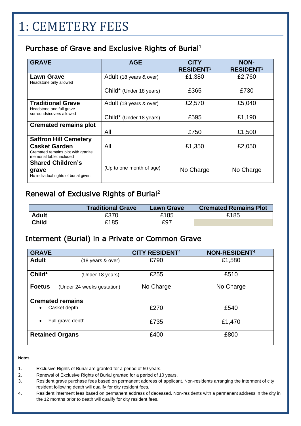### 1: CEMETERY FEES

#### Purchase of Grave and Exclusive Rights of Burial $1$

| <b>GRAVE</b>                                                                           |                          |                  |                  |
|----------------------------------------------------------------------------------------|--------------------------|------------------|------------------|
|                                                                                        | <b>AGE</b>               | <b>CITY</b>      | <b>NON-</b>      |
|                                                                                        |                          | <b>RESIDENT3</b> | <b>RESIDENT3</b> |
| <b>Lawn Grave</b><br>Headstone only allowed                                            | Adult (18 years & over)  | £1,380           | £2,760           |
|                                                                                        | Child* (Under 18 years)  | £365             | £730             |
| <b>Traditional Grave</b><br>Headstone and full grave                                   | Adult (18 years & over)  | £2,570           | £5,040           |
| surrounds/covers allowed                                                               | Child* (Under 18 years)  | £595             | £1,190           |
| <b>Cremated remains plot</b>                                                           |                          |                  |                  |
|                                                                                        | All                      | £750             | £1,500           |
| <b>Saffron Hill Cemetery</b>                                                           |                          |                  |                  |
| <b>Casket Garden</b><br>Cremated remains plot with granite<br>memorial tablet included | All                      | £1,350           | £2,050           |
| <b>Shared Children's</b>                                                               |                          |                  |                  |
| grave<br>No individual rights of burial given                                          | (Up to one month of age) | No Charge        | No Charge        |

### Renewal of Exclusive Rights of Burial<sup>2</sup>

|              | <b>Traditional Grave</b> | <b>Lawn Grave</b> | <b>Cremated Remains Plot</b> |
|--------------|--------------------------|-------------------|------------------------------|
| <b>Adult</b> | £370                     | <u>ິ</u> 185      | £185                         |
| <b>Child</b> | £185                     | £97               |                              |

#### Interment (Burial) in a Private or Common Grave

| <b>GRAVE</b>                                | <b>CITY RESIDENT<sup>4</sup></b> | <b>NON-RESIDENT4</b> |
|---------------------------------------------|----------------------------------|----------------------|
| <b>Adult</b><br>(18 years & over)           | £790                             | £1,580               |
| Child*<br>(Under 18 years)                  | £255                             | £510                 |
| <b>Foetus</b><br>(Under 24 weeks gestation) | No Charge                        | No Charge            |
| <b>Cremated remains</b>                     |                                  |                      |
| Casket depth<br>$\bullet$                   | £270                             | £540                 |
| Full grave depth<br>$\bullet$               | £735                             | £1,470               |
| <b>Retained Organs</b>                      | £400                             | £800                 |

#### **Notes**

- 1. Exclusive Rights of Burial are granted for a period of 50 years.
- 2. Renewal of Exclusive Rights of Burial granted for a period of 10 years.
- 3. Resident grave purchase fees based on permanent address of applicant. Non-residents arranging the interment of city resident following death will qualify for city resident fees.
- 4. Resident interment fees based on permanent address of deceased. Non-residents with a permanent address in the city in the 12 months prior to death will qualify for city resident fees.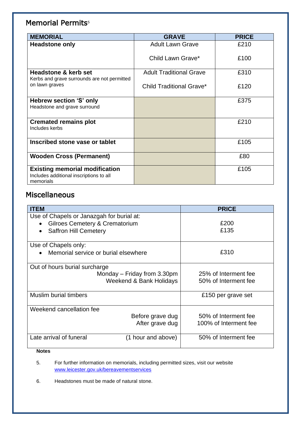### Memorial Permits<sup>5</sup>

| <b>MEMORIAL</b>                                                                               | <b>GRAVE</b>                    | <b>PRICE</b> |
|-----------------------------------------------------------------------------------------------|---------------------------------|--------------|
| <b>Headstone only</b>                                                                         | <b>Adult Lawn Grave</b>         | £210         |
|                                                                                               | Child Lawn Grave*               | £100         |
| Headstone & kerb set<br>Kerbs and grave surrounds are not permitted                           | <b>Adult Traditional Grave</b>  | £310         |
| on lawn graves                                                                                | <b>Child Traditional Grave*</b> | £120         |
| Hebrew section 'S' only<br>Headstone and grave surround                                       |                                 | £375         |
| <b>Cremated remains plot</b><br>Includes kerbs                                                |                                 | £210         |
| Inscribed stone vase or tablet                                                                |                                 | £105         |
| <b>Wooden Cross (Permanent)</b>                                                               |                                 | £80          |
| <b>Existing memorial modification</b><br>Includes additional inscriptions to all<br>memorials |                                 | £105         |

### Miscellaneous

| <b>ITEM</b>                               |                      | <b>PRICE</b>          |
|-------------------------------------------|----------------------|-----------------------|
| Use of Chapels or Janazgah for burial at: |                      |                       |
| <b>Gilroes Cemetery &amp; Crematorium</b> |                      | £200                  |
| <b>Saffron Hill Cemetery</b>              |                      | £135                  |
|                                           |                      |                       |
| Use of Chapels only:                      |                      |                       |
| Memorial service or burial elsewhere      |                      | £310                  |
| Out of hours burial surcharge             |                      |                       |
| Monday $-$ Friday from 3.30pm             | 25% of Interment fee |                       |
| Weekend & Bank Holidays                   |                      | 50% of Interment fee  |
| <b>Muslim burial timbers</b>              |                      | £150 per grave set    |
|                                           |                      |                       |
| Weekend cancellation fee                  |                      |                       |
| Before grave dug                          |                      | 50% of Interment fee  |
|                                           | After grave dug      | 100% of Interment fee |
| Late arrival of funeral                   | (1 hour and above)   | 50% of Interment fee  |

#### **Notes**

5. For further information on memorials, including permitted sizes, visit our website [www.leicester.gov.uk/bereavementservices](https://www.leicester.gov.uk/your-community/births-marriages-and-deaths/funerals-burials-and-cremations/memorials/)

6. Headstones must be made of natural stone.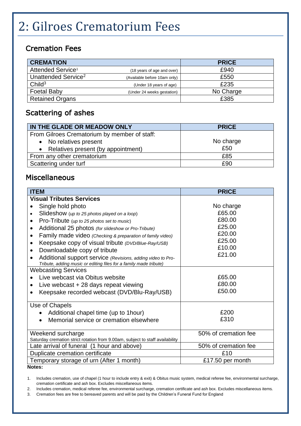# 2: Gilroes Crematorium Fees

### Cremation Fees

| <b>CREMATION</b>                |                              | <b>PRICE</b> |
|---------------------------------|------------------------------|--------------|
| Attended Service <sup>1</sup>   | (18 years of age and over)   | £940         |
| Unattended Service <sup>2</sup> | (Available before 10am only) | £550         |
| Child <sup>3</sup>              | (Under 18 years of age)      | £235         |
| <b>Foetal Baby</b>              | (Under 24 weeks gestation)   | No Charge    |
| <b>Retained Organs</b>          |                              | £385         |

### Scattering of ashes

| IN THE GLADE OR MEADOW ONLY                  | <b>PRICE</b> |
|----------------------------------------------|--------------|
| From Gilroes Crematorium by member of staff: |              |
| • No relatives present                       | No charge    |
| • Relatives present (by appointment)         | £50          |
| From any other crematorium                   | £85          |
| Scattering under turf                        | £90          |

#### Miscellaneous

| <b>ITEM</b>                                                                   | <b>PRICE</b>         |
|-------------------------------------------------------------------------------|----------------------|
| <b>Visual Tributes Services</b>                                               |                      |
| Single hold photo                                                             | No charge            |
| Slideshow (up to 25 photos played on a loop)                                  | £65.00               |
| Pro-Tribute (up to 25 photos set to music)<br>$\bullet$                       | £80.00               |
| Additional 25 photos (for slideshow or Pro-Tribute)<br>$\bullet$              | £25.00               |
| Family made video (Checking & preparation of family video)<br>٠               | £20.00               |
| Keepsake copy of visual tribute (DVD/Blue-Ray/USB)<br>$\bullet$               | £25.00               |
| Downloadable copy of tribute<br>$\bullet$                                     | £10.00               |
| Additional support service (Revisions, adding video to Pro-                   | £21.00               |
| Tribute, adding music or editing files for a family made tribute)             |                      |
| <b>Webcasting Services</b>                                                    |                      |
| Live webcast via Obitus website                                               | £65.00               |
| Live webcast $+28$ days repeat viewing                                        | £80.00               |
| Keepsake recorded webcast (DVD/Blu-Ray/USB)                                   | £50.00               |
| Use of Chapels                                                                |                      |
| Additional chapel time (up to 1 hour)                                         | £200                 |
| Memorial service or cremation elsewhere                                       | £310                 |
| Weekend surcharge                                                             | 50% of cremation fee |
| Saturday cremation strict rotation from 9.00am, subject to staff availability |                      |
| Late arrival of funeral (1 hour and above)                                    | 50% of cremation fee |
| Duplicate cremation certificate                                               | £10                  |
| Temporary storage of urn (After 1 month)                                      | £17.50 per month     |

**Notes:** 

1. Includes cremation, use of chapel (1 hour to include entry & exit) & Obitus music system, medical referee fee, environmental surcharge, cremation certificate and ash box. Excludes miscellaneous items.

2. Includes cremation, medical referee fee, environmental surcharge, cremation certificate and ash box. Excludes miscellaneous items.

3. Cremation fees are free to bereaved parents and will be paid by the Children's Funeral Fund for England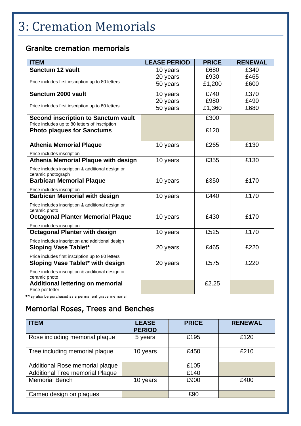## 3: Cremation Memorials

### Granite cremation memorials

| <b>ITEM</b>                                                             | <b>LEASE PERIOD</b> | <b>PRICE</b> | <b>RENEWAL</b> |
|-------------------------------------------------------------------------|---------------------|--------------|----------------|
| Sanctum 12 vault                                                        | 10 years            | £680         | £340           |
|                                                                         | 20 years            | £930         | £465           |
| Price includes first inscription up to 80 letters                       | 50 years            | £1,200       | £600           |
| Sanctum 2000 vault                                                      | 10 years            | £740         | £370           |
|                                                                         | 20 years            | £980         | £490           |
| Price includes first inscription up to 80 letters                       | 50 years            | £1,360       | £680           |
| <b>Second inscription to Sanctum vault</b>                              |                     | £300         |                |
| Price includes up to 80 letters of inscription                          |                     |              |                |
| <b>Photo plaques for Sanctums</b>                                       |                     | £120         |                |
| <b>Athenia Memorial Plaque</b>                                          | 10 years            | £265         | £130           |
| Price includes inscription                                              |                     |              |                |
| Athenia Memorial Plaque with design                                     | 10 years            | £355         | £130           |
| Price includes inscription & additional design or<br>ceramic photograph |                     |              |                |
| <b>Barbican Memorial Plaque</b>                                         | 10 years            | £350         | £170           |
| Price includes inscription                                              |                     |              |                |
| <b>Barbican Memorial with design</b>                                    | 10 years            | £440         | £170           |
| Price includes inscription & additional design or<br>ceramic photo      |                     |              |                |
| <b>Octagonal Planter Memorial Plaque</b>                                | 10 years            | £430         | £170           |
| Price includes inscription                                              |                     |              |                |
| <b>Octagonal Planter with design</b>                                    | 10 years            | £525         | £170           |
| Price includes inscription and additional design                        |                     |              |                |
| <b>Sloping Vase Tablet*</b>                                             | 20 years            | £465         | £220           |
| Price includes first inscription up to 80 letters                       |                     |              |                |
| Sloping Vase Tablet* with design                                        | 20 years            | £575         | £220           |
| Price includes inscription & additional design or<br>ceramic photo      |                     |              |                |
| <b>Additional lettering on memorial</b><br>Price per letter             |                     | £2.25        |                |

\*May also be purchased as a permanent grave memorial

### Memorial Roses, Trees and Benches

| <b>ITEM</b>                            | <b>LEASE</b><br><b>PERIOD</b> | <b>PRICE</b> | <b>RENEWAL</b> |
|----------------------------------------|-------------------------------|--------------|----------------|
| Rose including memorial plaque         | 5 years                       | £195         | £120           |
| Tree including memorial plaque         | 10 years                      | £450         | £210           |
| Additional Rose memorial plaque        |                               | £105         |                |
| <b>Additional Tree memorial Plaque</b> |                               | £140         |                |
| <b>Memorial Bench</b>                  | 10 years                      | £900         | £400           |
| Cameo design on plaques                |                               | £90          |                |